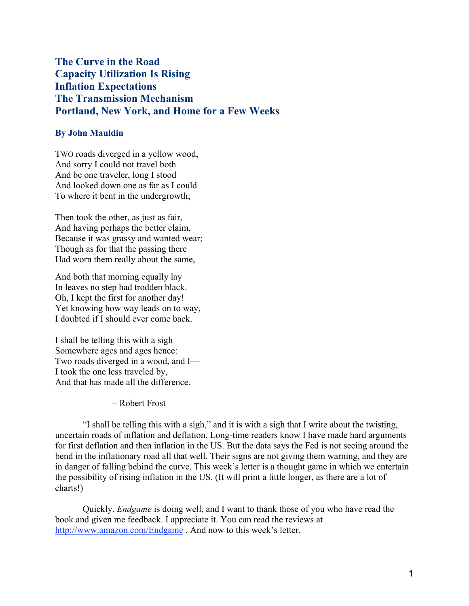The Curve in the Road Capacity Utilization Is Rising Inflation Expectations The Transmission Mechanism Portland, New York, and Home for a Few Weeks

# By John Mauldin

TWO roads diverged in a yellow wood, And sorry I could not travel both And be one traveler, long I stood And looked down one as far as I could To where it bent in the undergrowth;

Then took the other, as just as fair, And having perhaps the better claim, Because it was grassy and wanted wear; Though as for that the passing there Had worn them really about the same,

And both that morning equally lay In leaves no step had trodden black. Oh, I kept the first for another day! Yet knowing how way leads on to way, I doubted if I should ever come back.

I shall be telling this with a sigh Somewhere ages and ages hence: Two roads diverged in a wood, and I— I took the one less traveled by, And that has made all the difference.

– Robert Frost

"I shall be telling this with a sigh," and it is with a sigh that I write about the twisting, uncertain roads of inflation and deflation. Long-time readers know I have made hard arguments for first deflation and then inflation in the US. But the data says the Fed is not seeing around the bend in the inflationary road all that well. Their signs are not giving them warning, and they are in danger of falling behind the curve. This week's letter is a thought game in which we entertain the possibility of rising inflation in the US. (It will print a little longer, as there are a lot of charts!)

Quickly, *Endgame* is doing well, and I want to thank those of you who have read the book and given me feedback. I appreciate it. You can read the reviews at http://www.amazon.com/Endgame . And now to this week's letter.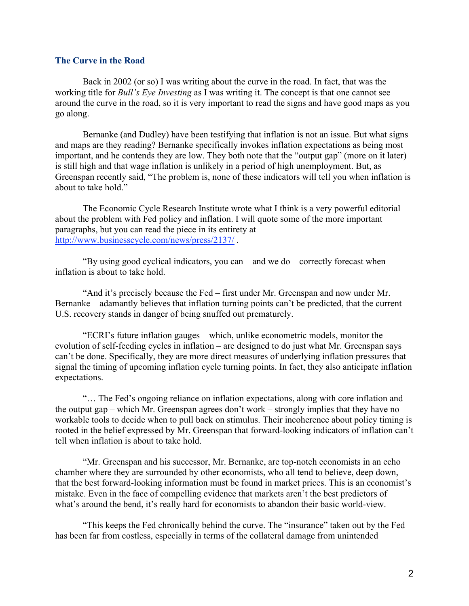## The Curve in the Road

Back in 2002 (or so) I was writing about the curve in the road. In fact, that was the working title for *Bull's Eye Investing* as I was writing it. The concept is that one cannot see around the curve in the road, so it is very important to read the signs and have good maps as you go along.

Bernanke (and Dudley) have been testifying that inflation is not an issue. But what signs and maps are they reading? Bernanke specifically invokes inflation expectations as being most important, and he contends they are low. They both note that the "output gap" (more on it later) is still high and that wage inflation is unlikely in a period of high unemployment. But, as Greenspan recently said, "The problem is, none of these indicators will tell you when inflation is about to take hold."

The Economic Cycle Research Institute wrote what I think is a very powerful editorial about the problem with Fed policy and inflation. I will quote some of the more important paragraphs, but you can read the piece in its entirety at http://www.businesscycle.com/news/press/2137/ .

"By using good cyclical indicators, you can – and we do – correctly forecast when inflation is about to take hold.

"And it's precisely because the Fed – first under Mr. Greenspan and now under Mr. Bernanke – adamantly believes that inflation turning points can't be predicted, that the current U.S. recovery stands in danger of being snuffed out prematurely.

"ECRI's future inflation gauges – which, unlike econometric models, monitor the evolution of self-feeding cycles in inflation – are designed to do just what Mr. Greenspan says can't be done. Specifically, they are more direct measures of underlying inflation pressures that signal the timing of upcoming inflation cycle turning points. In fact, they also anticipate inflation expectations.

"… The Fed's ongoing reliance on inflation expectations, along with core inflation and the output gap – which Mr. Greenspan agrees don't work – strongly implies that they have no workable tools to decide when to pull back on stimulus. Their incoherence about policy timing is rooted in the belief expressed by Mr. Greenspan that forward-looking indicators of inflation can't tell when inflation is about to take hold.

"Mr. Greenspan and his successor, Mr. Bernanke, are top-notch economists in an echo chamber where they are surrounded by other economists, who all tend to believe, deep down, that the best forward-looking information must be found in market prices. This is an economist's mistake. Even in the face of compelling evidence that markets aren't the best predictors of what's around the bend, it's really hard for economists to abandon their basic world-view.

"This keeps the Fed chronically behind the curve. The "insurance" taken out by the Fed has been far from costless, especially in terms of the collateral damage from unintended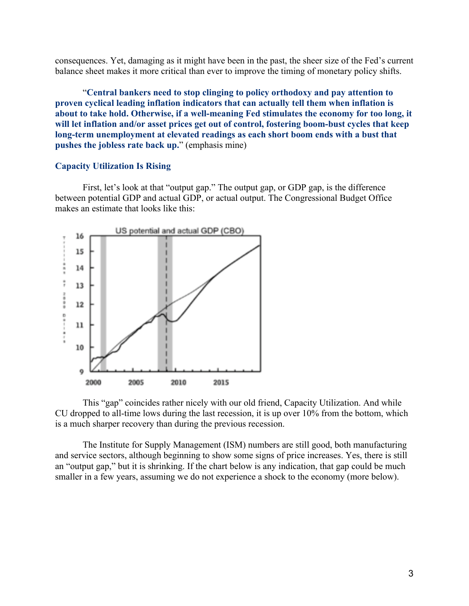consequences. Yet, damaging as it might have been in the past, the sheer size of the Fed's current balance sheet makes it more critical than ever to improve the timing of monetary policy shifts.

"Central bankers need to stop clinging to policy orthodoxy and pay attention to proven cyclical leading inflation indicators that can actually tell them when inflation is about to take hold. Otherwise, if a well-meaning Fed stimulates the economy for too long, it will let inflation and/or asset prices get out of control, fostering boom-bust cycles that keep long-term unemployment at elevated readings as each short boom ends with a bust that pushes the jobless rate back up." (emphasis mine)

### Capacity Utilization Is Rising

First, let's look at that "output gap." The output gap, or GDP gap, is the difference between potential GDP and actual GDP, or actual output. The Congressional Budget Office makes an estimate that looks like this:



This "gap" coincides rather nicely with our old friend, Capacity Utilization. And while CU dropped to all-time lows during the last recession, it is up over 10% from the bottom, which is a much sharper recovery than during the previous recession.

The Institute for Supply Management (ISM) numbers are still good, both manufacturing and service sectors, although beginning to show some signs of price increases. Yes, there is still an "output gap," but it is shrinking. If the chart below is any indication, that gap could be much smaller in a few years, assuming we do not experience a shock to the economy (more below).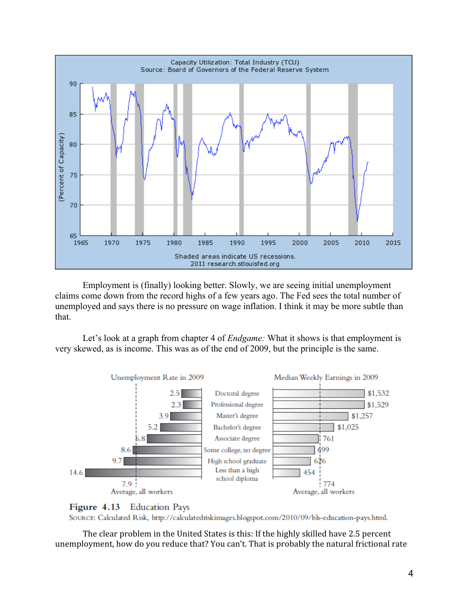

Employment is (finally) looking better. Slowly, we are seeing initial unemployment claims come down from the record highs of a few years ago. The Fed sees the total number of unemployed and says there is no pressure on wage inflation. I think it may be more subtle than that.

Let's look at a graph from chapter 4 of *Endgame:* What it shows is that employment is very skewed, as is income. This was as of the end of 2009, but the principle is the same.





SOURCE: Calculated Risk, http://calculatedriskimages.blogspot.com/2010/09/bls-education-pays.html.

The clear problem in the United States is this: If the highly skilled have 2.5 percent unemployment, how do you reduce that? You can't. That is probably the natural frictional rate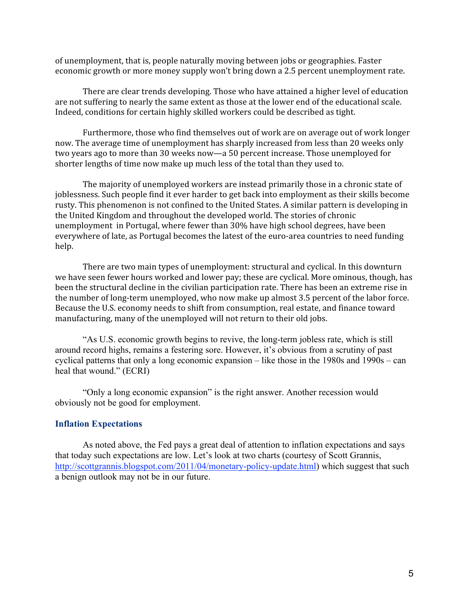of unemployment, that is, people naturally moving between jobs or geographies. Faster economic growth or more money supply won't bring down a 2.5 percent unemployment rate.

There are clear trends developing. Those who have attained a higher level of education are not suffering to nearly the same extent as those at the lower end of the educational scale. Indeed, conditions for certain highly skilled workers could be described as tight.

Furthermore, those who find themselves out of work are on average out of work longer now. The average time of unemployment has sharply increased from less than 20 weeks only two years ago to more than 30 weeks now—a 50 percent increase. Those unemployed for shorter lengths of time now make up much less of the total than they used to.

The majority of unemployed workers are instead primarily those in a chronic state of joblessness. Such people find it ever harder to get back into employment as their skills become rusty. This phenomenon is not confined to the United States. A similar pattern is developing in the United Kingdom and throughout the developed world. The stories of chronic unemployment in Portugal, where fewer than 30% have high school degrees, have been everywhere of late, as Portugal becomes the latest of the euro-area countries to need funding help.

There are two main types of unemployment: structural and cyclical. In this downturn we have seen fewer hours worked and lower pay; these are cyclical. More ominous, though, has been the structural decline in the civilian participation rate. There has been an extreme rise in the number of long-term unemployed, who now make up almost 3.5 percent of the labor force. Because the U.S. economy needs to shift from consumption, real estate, and finance toward manufacturing, many of the unemployed will not return to their old jobs.

"As U.S. economic growth begins to revive, the long-term jobless rate, which is still around record highs, remains a festering sore. However, it's obvious from a scrutiny of past cyclical patterns that only a long economic expansion – like those in the 1980s and 1990s – can heal that wound." (ECRI)

"Only a long economic expansion" is the right answer. Another recession would obviously not be good for employment.

## Inflation Expectations

As noted above, the Fed pays a great deal of attention to inflation expectations and says that today such expectations are low. Let's look at two charts (courtesy of Scott Grannis, http://scottgrannis.blogspot.com/2011/04/monetary-policy-update.html) which suggest that such a benign outlook may not be in our future.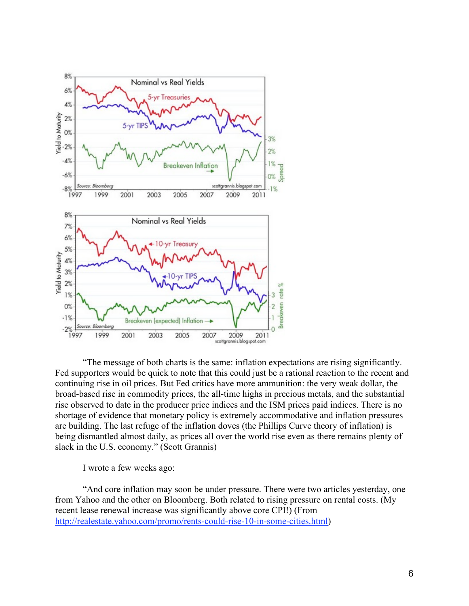

"The message of both charts is the same: inflation expectations are rising significantly. Fed supporters would be quick to note that this could just be a rational reaction to the recent and continuing rise in oil prices. But Fed critics have more ammunition: the very weak dollar, the broad-based rise in commodity prices, the all-time highs in precious metals, and the substantial rise observed to date in the producer price indices and the ISM prices paid indices. There is no shortage of evidence that monetary policy is extremely accommodative and inflation pressures are building. The last refuge of the inflation doves (the Phillips Curve theory of inflation) is being dismantled almost daily, as prices all over the world rise even as there remains plenty of slack in the U.S. economy." (Scott Grannis)

I wrote a few weeks ago:

"And core inflation may soon be under pressure. There were two articles yesterday, one from Yahoo and the other on Bloomberg. Both related to rising pressure on rental costs. (My recent lease renewal increase was significantly above core CPI!) (From http://realestate.yahoo.com/promo/rents-could-rise-10-in-some-cities.html)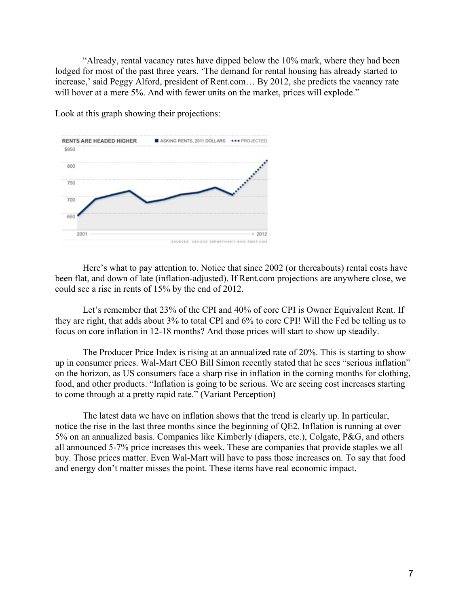"Already, rental vacancy rates have dipped below the 10% mark, where they had been lodged for most of the past three years. 'The demand for rental housing has already started to increase,' said Peggy Alford, president of Rent.com… By 2012, she predicts the vacancy rate will hover at a mere 5%. And with fewer units on the market, prices will explode."



Look at this graph showing their projections:

Here's what to pay attention to. Notice that since 2002 (or thereabouts) rental costs have been flat, and down of late (inflation-adjusted). If Rent.com projections are anywhere close, we could see a rise in rents of 15% by the end of 2012.

Let's remember that 23% of the CPI and 40% of core CPI is Owner Equivalent Rent. If they are right, that adds about 3% to total CPI and 6% to core CPI! Will the Fed be telling us to focus on core inflation in 12-18 months? And those prices will start to show up steadily.

The Producer Price Index is rising at an annualized rate of 20%. This is starting to show up in consumer prices. Wal-Mart CEO Bill Simon recently stated that he sees "serious inflation" on the horizon, as US consumers face a sharp rise in inflation in the coming months for clothing, food, and other products. "Inflation is going to be serious. We are seeing cost increases starting to come through at a pretty rapid rate." (Variant Perception)

The latest data we have on inflation shows that the trend is clearly up. In particular, notice the rise in the last three months since the beginning of QE2. Inflation is running at over 5% on an annualized basis. Companies like Kimberly (diapers, etc.), Colgate, P&G, and others all announced 5-7% price increases this week. These are companies that provide staples we all buy. Those prices matter. Even Wal-Mart will have to pass those increases on. To say that food and energy don't matter misses the point. These items have real economic impact.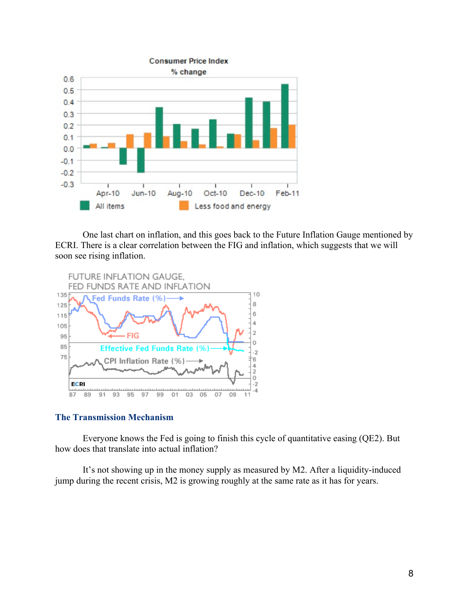

One last chart on inflation, and this goes back to the Future Inflation Gauge mentioned by ECRI. There is a clear correlation between the FIG and inflation, which suggests that we will soon see rising inflation.



# The Transmission Mechanism

Everyone knows the Fed is going to finish this cycle of quantitative easing (QE2). But how does that translate into actual inflation?

It's not showing up in the money supply as measured by M2. After a liquidity-induced jump during the recent crisis, M2 is growing roughly at the same rate as it has for years.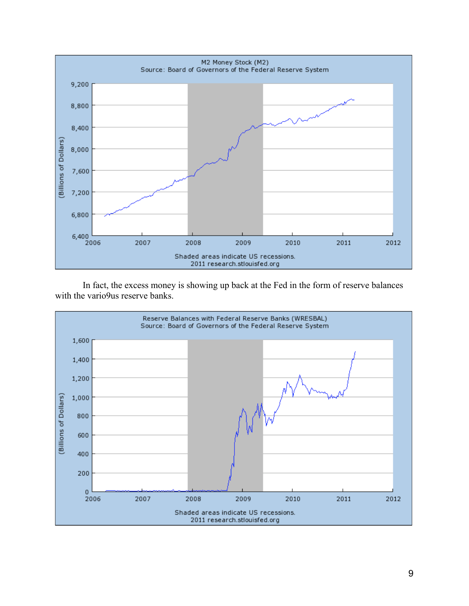

In fact, the excess money is showing up back at the Fed in the form of reserve balances with the vario9us reserve banks.

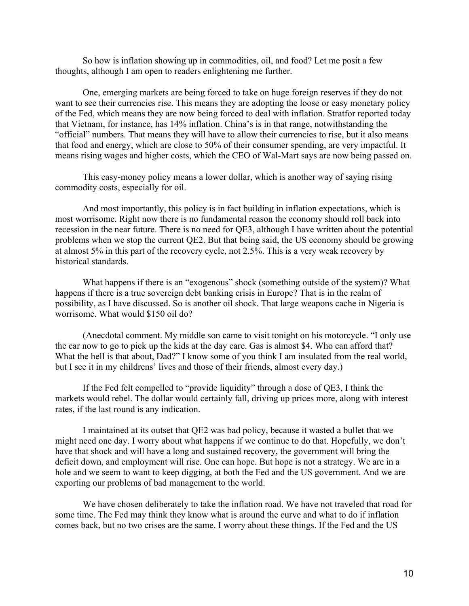So how is inflation showing up in commodities, oil, and food? Let me posit a few thoughts, although I am open to readers enlightening me further.

One, emerging markets are being forced to take on huge foreign reserves if they do not want to see their currencies rise. This means they are adopting the loose or easy monetary policy of the Fed, which means they are now being forced to deal with inflation. Stratfor reported today that Vietnam, for instance, has 14% inflation. China's is in that range, notwithstanding the "official" numbers. That means they will have to allow their currencies to rise, but it also means that food and energy, which are close to 50% of their consumer spending, are very impactful. It means rising wages and higher costs, which the CEO of Wal-Mart says are now being passed on.

This easy-money policy means a lower dollar, which is another way of saying rising commodity costs, especially for oil.

And most importantly, this policy is in fact building in inflation expectations, which is most worrisome. Right now there is no fundamental reason the economy should roll back into recession in the near future. There is no need for QE3, although I have written about the potential problems when we stop the current QE2. But that being said, the US economy should be growing at almost 5% in this part of the recovery cycle, not 2.5%. This is a very weak recovery by historical standards.

What happens if there is an "exogenous" shock (something outside of the system)? What happens if there is a true sovereign debt banking crisis in Europe? That is in the realm of possibility, as I have discussed. So is another oil shock. That large weapons cache in Nigeria is worrisome. What would \$150 oil do?

(Anecdotal comment. My middle son came to visit tonight on his motorcycle. "I only use the car now to go to pick up the kids at the day care. Gas is almost \$4. Who can afford that? What the hell is that about, Dad?" I know some of you think I am insulated from the real world, but I see it in my childrens' lives and those of their friends, almost every day.)

If the Fed felt compelled to "provide liquidity" through a dose of QE3, I think the markets would rebel. The dollar would certainly fall, driving up prices more, along with interest rates, if the last round is any indication.

I maintained at its outset that QE2 was bad policy, because it wasted a bullet that we might need one day. I worry about what happens if we continue to do that. Hopefully, we don't have that shock and will have a long and sustained recovery, the government will bring the deficit down, and employment will rise. One can hope. But hope is not a strategy. We are in a hole and we seem to want to keep digging, at both the Fed and the US government. And we are exporting our problems of bad management to the world.

We have chosen deliberately to take the inflation road. We have not traveled that road for some time. The Fed may think they know what is around the curve and what to do if inflation comes back, but no two crises are the same. I worry about these things. If the Fed and the US